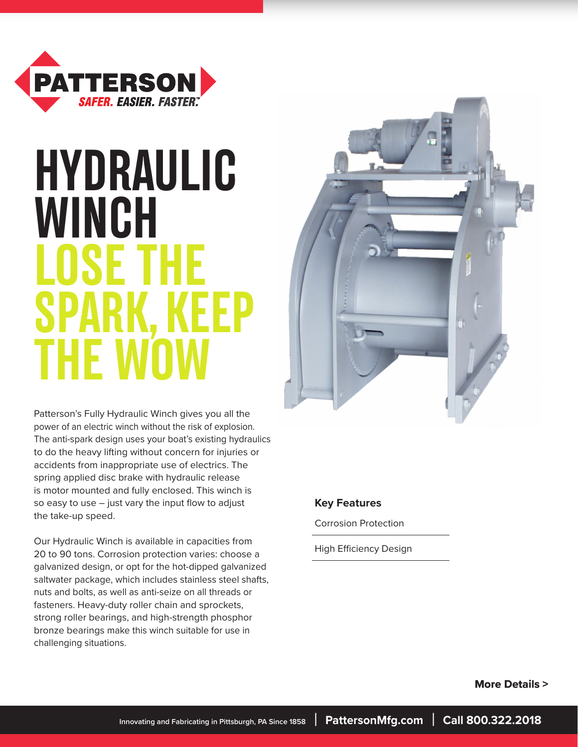

# **HYDRAULIC WINCH LOSE THE SPARK THE WOW**



Patterson's Fully Hydraulic Winch gives you all the power of an electric winch without the risk of explosion. The anti-spark design uses your boat's existing hydraulics to do the heavy lifting without concern for injuries or accidents from inappropriate use of electrics. The spring applied disc brake with hydraulic release is motor mounted and fully enclosed. This winch is so easy to use – just vary the input flow to adjust the take-up speed.

Our Hydraulic Winch is available in capacities from 20 to 90 tons. Corrosion protection varies: choose a galvanized design, or opt for the hot-dipped galvanized saltwater package, which includes stainless steel shafts, nuts and bolts, as well as anti-seize on all threads or fasteners. Heavy-duty roller chain and sprockets, strong roller bearings, and high-strength phosphor bronze bearings make this winch suitable for use in challenging situations.

#### **Key Features**

Corrosion Protection

High Efficiency Design

 **More Details >**